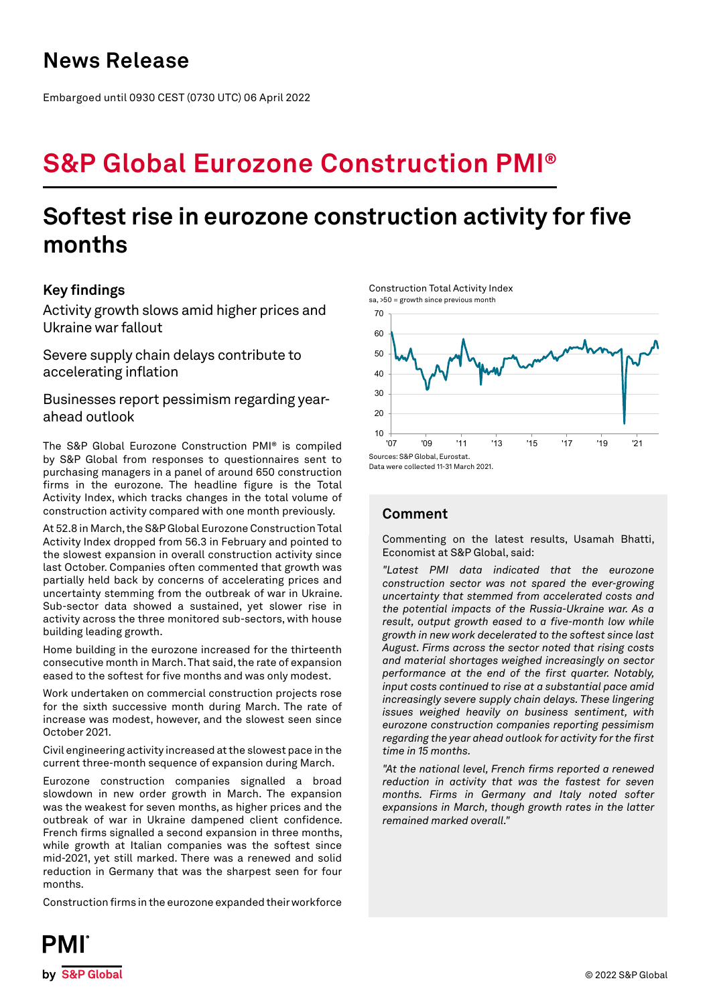## **News Release**

Embargoed until 0930 CEST (0730 UTC) 06 April 2022

# **S&P Global Eurozone Construction PMI®**

## **Softest rise in eurozone construction activity for five months**

## **Key findings**

Activity growth slows amid higher prices and Ukraine war fallout

Severe supply chain delays contribute to accelerating inflation

Businesses report pessimism regarding yearahead outlook

The S&P Global Eurozone Construction PMI® is compiled by S&P Global from responses to questionnaires sent to purchasing managers in a panel of around 650 construction firms in the eurozone. The headline figure is the Total Activity Index, which tracks changes in the total volume of construction activity compared with one month previously.

At 52.8 in March, the S&P Global Eurozone Construction Total Activity Index dropped from 56.3 in February and pointed to the slowest expansion in overall construction activity since last October. Companies often commented that growth was partially held back by concerns of accelerating prices and uncertainty stemming from the outbreak of war in Ukraine. Sub-sector data showed a sustained, yet slower rise in activity across the three monitored sub-sectors, with house building leading growth.

Home building in the eurozone increased for the thirteenth consecutive month in March. That said, the rate of expansion eased to the softest for five months and was only modest.

Work undertaken on commercial construction projects rose for the sixth successive month during March. The rate of increase was modest, however, and the slowest seen since October 2021.

Civil engineering activity increased at the slowest pace in the current three-month sequence of expansion during March.

Eurozone construction companies signalled a broad slowdown in new order growth in March. The expansion was the weakest for seven months, as higher prices and the outbreak of war in Ukraine dampened client confidence. French firms signalled a second expansion in three months, while growth at Italian companies was the softest since mid-2021, yet still marked. There was a renewed and solid reduction in Germany that was the sharpest seen for four months.

Construction firms in the eurozone expanded their workforce

Construction Total Activity Index sa, >50 = growth since previous month



Data were collected 11-31 March 2021.

## **Comment**

Commenting on the latest results, Usamah Bhatti, Economist at S&P Global, said:

*"Latest PMI data indicated that the eurozone construction sector was not spared the ever-growing uncertainty that stemmed from accelerated costs and the potential impacts of the Russia-Ukraine war. As a result, output growth eased to a five-month low while growth in new work decelerated to the softest since last August. Firms across the sector noted that rising costs and material shortages weighed increasingly on sector performance at the end of the first quarter. Notably, input costs continued to rise at a substantial pace amid increasingly severe supply chain delays. These lingering issues weighed heavily on business sentiment, with eurozone construction companies reporting pessimism regarding the year ahead outlook for activity for the first time in 15 months.*

*"At the national level, French firms reported a renewed reduction in activity that was the fastest for seven months. Firms in Germany and Italy noted softer expansions in March, though growth rates in the latter remained marked overall."*